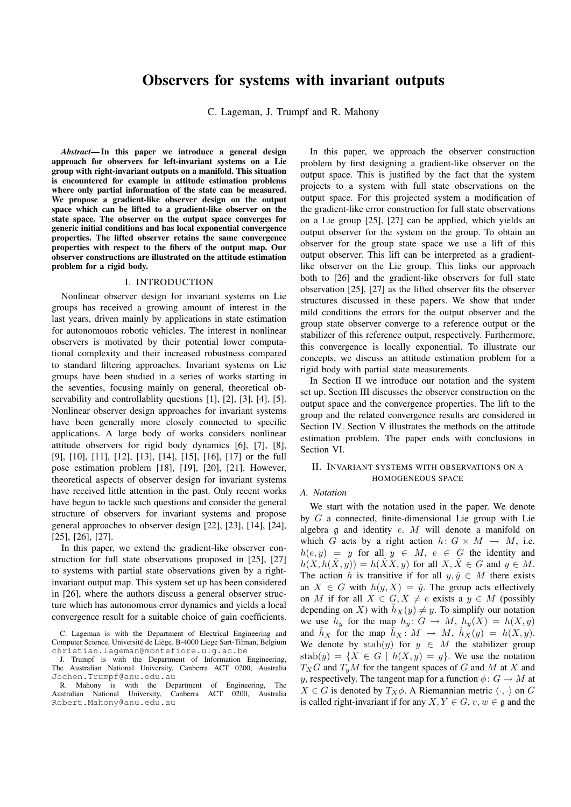# Observers for systems with invariant outputs

C. Lageman, J. Trumpf and R. Mahony

*Abstract*— In this paper we introduce a general design approach for observers for left-invariant systems on a Lie group with right-invariant outputs on a manifold. This situation is encountered for example in attitude estimation problems where only partial information of the state can be measured. We propose a gradient-like observer design on the output space which can be lifted to a gradient-like observer on the state space. The observer on the output space converges for generic initial conditions and has local exponential convergence properties. The lifted observer retains the same convergence properties with respect to the fibers of the output map. Our observer constructions are illustrated on the attitude estimation problem for a rigid body.

# I. INTRODUCTION

Nonlinear observer design for invariant systems on Lie groups has received a growing amount of interest in the last years, driven mainly by applications in state estimation for autonomouos robotic vehicles. The interest in nonlinear observers is motivated by their potential lower computational complexity and their increased robustness compared to standard filtering approaches. Invariant systems on Lie groups have been studied in a series of works starting in the seventies, focusing mainly on general, theoretical observability and controllablity questions [1], [2], [3], [4], [5]. Nonlinear observer design approaches for invariant systems have been generally more closely connected to specific applications. A large body of works considers nonlinear attitude observers for rigid body dynamics [6], [7], [8], [9], [10], [11], [12], [13], [14], [15], [16], [17] or the full pose estimation problem [18], [19], [20], [21]. However, theoretical aspects of observer design for invariant systems have received little attention in the past. Only recent works have begun to tackle such questions and consider the general structure of observers for invariant systems and propose general approaches to observer design [22], [23], [14], [24], [25], [26], [27].

In this paper, we extend the gradient-like observer construction for full state observations proposed in [25], [27] to systems with partial state observations given by a rightinvariant output map. This system set up has been considered in [26], where the authors discuss a general observer structure which has autonomous error dynamics and yields a local convergence result for a suitable choice of gain coefficients.

R. Mahony is with the Department of Engineering, The Australian National University, Canberra ACT 0200, Australia Robert.Mahony@anu.edu.au

In this paper, we approach the observer construction problem by first designing a gradient-like observer on the output space. This is justified by the fact that the system projects to a system with full state observations on the output space. For this projected system a modification of the gradient-like error construction for full state observations on a Lie group [25], [27] can be applied, which yields an output observer for the system on the group. To obtain an observer for the group state space we use a lift of this output observer. This lift can be interpreted as a gradientlike observer on the Lie group. This links our approach both to [26] and the gradient-like observers for full state observation [25], [27] as the lifted observer fits the observer structures discussed in these papers. We show that under mild conditions the errors for the output observer and the group state observer converge to a reference output or the stabilizer of this reference output, respectively. Furthermore, this convergence is locally exponential. To illustrate our concepts, we discuss an attitude estimation problem for a rigid body with partial state measurements.

In Section II we introduce our notation and the system set up. Section III discusses the observer construction on the output space and the convergence properties. The lift to the group and the related convergence results are considered in Section IV. Section V illustrates the methods on the attitude estimation problem. The paper ends with conclusions in Section VI.

# II. INVARIANT SYSTEMS WITH OBSERVATIONS ON A HOMOGENEOUS SPACE

# *A. Notation*

We start with the notation used in the paper. We denote by  $G$  a connected, finite-dimensional Lie group with Lie algebra g and identity e. M will denote a manifold on which G acts by a right action  $h: G \times M \rightarrow M$ , i.e.  $h(e, y) = y$  for all  $y \in M$ ,  $e \in G$  the identity and  $h(X, h(\hat{X}, y)) = h(\hat{X}X, y)$  for all  $X, \hat{X} \in G$  and  $y \in M$ . The action h is transitive if for all  $y, \hat{y} \in M$  there exists an  $X \in G$  with  $h(y, X) = \hat{y}$ . The group acts effectively on M if for all  $X \in G$ ,  $X \neq e$  exists a  $y \in M$  (possibly depending on X) with  $h_X(y) \neq y$ . To simplify our notation we use  $h_y$  for the map  $h_y: G \to M$ ,  $h_y(X) = h(X, y)$ and  $\tilde{h}_X$  for the map  $\tilde{h}_X : M \to M$ ,  $\tilde{h}_X(y) = h(X, y)$ . We denote by  $stab(y)$  for  $y \in M$  the stabilizer group  $stab(y) = \{X \in G \mid h(X, y) = y\}.$  We use the notation  $T_XG$  and  $T_yM$  for the tangent spaces of G and M at X and y, respectively. The tangent map for a function  $\phi: G \to M$  at  $X \in G$  is denoted by  $T_X \phi$ . A Riemannian metric  $\langle \cdot, \cdot \rangle$  on G is called right-invariant if for any  $X, Y \in G$ ,  $v, w \in \mathfrak{g}$  and the

C. Lageman is with the Department of Electrical Engineering and Computer Science, Université de Liège, B-4000 Liege Sart-Tilman, Belgium christian.lageman@montefiore.ulg.ac.be

J. Trumpf is with the Department of Information Engineering, The Australian National University, Canberra ACT 0200, Australia Jochen.Trumpf@anu.edu.au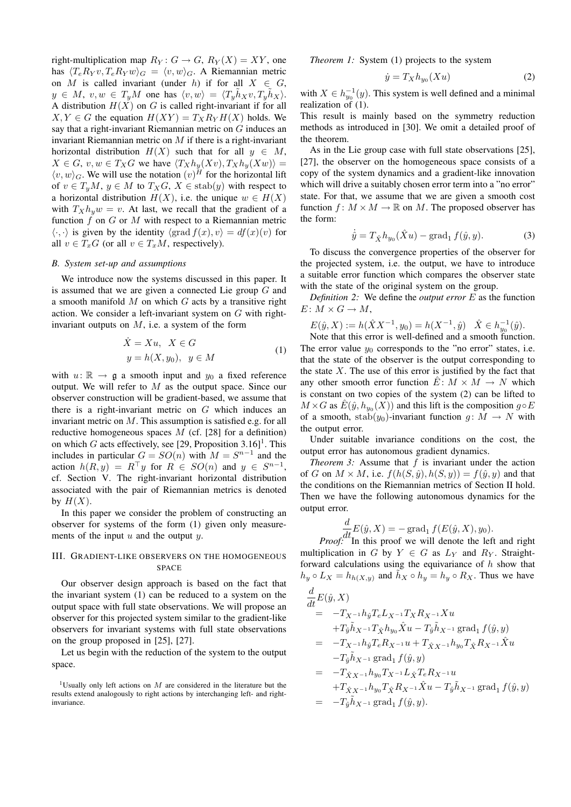right-multiplication map  $R_Y: G \to G$ ,  $R_Y(X) = XY$ , one has  $\langle T_e R_V v, T_e R_V w \rangle_G = \langle v, w \rangle_G$ . A Riemannian metric on M is called invariant (under h) if for all  $X \in G$ ,  $y \in M$ ,  $v, w \in T_uM$  one has  $\langle v, w \rangle = \langle T_u \hat{h}_X v, T_u \hat{h}_X \rangle$ . A distribution  $H(X)$  on G is called right-invariant if for all  $X, Y \in G$  the equation  $H(XY) = T_X R_Y H(X)$  holds. We say that a right-invariant Riemannian metric on  $G$  induces an invariant Riemannian metric on  $M$  if there is a right-invariant horizontal distribution  $H(X)$  such that for all  $y \in M$ ,  $X \in G$ ,  $v, w \in T_XG$  we have  $\langle T_Xh_u(Xv), T_Xh_u(Xw) \rangle =$  $\langle v, w \rangle_G$ . We will use the notation  $(v)^H$  for the horizontal lift of  $v \in T_yM$ ,  $y \in M$  to  $T_XG$ ,  $X \in \text{stab}(y)$  with respect to a horizontal distribution  $H(X)$ , i.e. the unique  $w \in H(X)$ with  $T_Xh_w w = v$ . At last, we recall that the gradient of a function  $f$  on  $G$  or  $M$  with respect to a Riemannian metric  $\langle \cdot, \cdot \rangle$  is given by the identity  $\langle \text{grad } f(x), v \rangle = df(x)(v)$  for all  $v \in T_xG$  (or all  $v \in T_xM$ , respectively).

# *B. System set-up and assumptions*

We introduce now the systems discussed in this paper. It is assumed that we are given a connected Lie group  $G$  and a smooth manifold  $M$  on which  $G$  acts by a transitive right action. We consider a left-invariant system on G with rightinvariant outputs on  $M$ , i.e. a system of the form

$$
\dot{X} = Xu, X \in G
$$
  
\n
$$
y = h(X, y_0), y \in M
$$
 (1)

with  $u: \mathbb{R} \to \mathfrak{g}$  a smooth input and  $y_0$  a fixed reference output. We will refer to  $M$  as the output space. Since our observer construction will be gradient-based, we assume that there is a right-invariant metric on  $G$  which induces an invariant metric on M. This assumption is satisfied e.g. for all reductive homogeneous spaces  $M$  (cf. [28] for a definition) on which G acts effectively, see [29, Proposition  $3.16$ ]<sup>1</sup>. This includes in particular  $G = SO(n)$  with  $M = S^{n-1}$  and the action  $h(R, y) = R^{\top}y$  for  $R \in SO(n)$  and  $y \in S^{n-1}$ , cf. Section V. The right-invariant horizontal distribution associated with the pair of Riemannian metrics is denoted by  $H(X)$ .

In this paper we consider the problem of constructing an observer for systems of the form (1) given only measurements of the input  $u$  and the output  $y$ .

# III. GRADIENT-LIKE OBSERVERS ON THE HOMOGENEOUS SPACE

Our observer design approach is based on the fact that the invariant system (1) can be reduced to a system on the output space with full state observations. We will propose an observer for this projected system similar to the gradient-like observers for invariant systems with full state observations on the group proposed in [25], [27].

Let us begin with the reduction of the system to the output space.

<sup>1</sup>Usually only left actions on  $M$  are considered in the literature but the results extend analogously to right actions by interchanging left- and rightinvariance.

*Theorem 1:* System (1) projects to the system

$$
\dot{y} = T_X h_{y_0}(Xu) \tag{2}
$$

with  $X \in h_{y_0}^{-1}(y)$ . This system is well defined and a minimal realization of (1).

This result is mainly based on the symmetry reduction methods as introduced in [30]. We omit a detailed proof of the theorem.

As in the Lie group case with full state observations [25], [27], the observer on the homogeneous space consists of a copy of the system dynamics and a gradient-like innovation which will drive a suitably chosen error term into a "no error" state. For that, we assume that we are given a smooth cost function  $f: M \times M \to \mathbb{R}$  on M. The proposed observer has the form:

$$
\dot{\hat{y}} = T_{\hat{X}} h_{y_0}(\hat{X}u) - \text{grad}_1 f(\hat{y}, y).
$$
 (3)

To discuss the convergence properties of the observer for the projected system, i.e. the output, we have to introduce a suitable error function which compares the observer state with the state of the original system on the group.

*Definition 2:* We define the *output error* E as the function  $E: M \times G \to M$ ,

$$
E(\hat{y}, X) := h(\hat{X}X^{-1}, y_0) = h(X^{-1}, \hat{y}) \quad \hat{X} \in h_{y_0}^{-1}(\hat{y}).
$$

Note that this error is well-defined and a smooth function. The error value  $y_0$  corresponds to the "no error" states, i.e. that the state of the observer is the output corresponding to the state  $X$ . The use of this error is justified by the fact that any other smooth error function  $\hat{E}: M \times M \rightarrow N$  which is constant on two copies of the system (2) can be lifted to  $M \times G$  as  $\hat{E}(\hat{y}, h_{y_0}(X))$  and this lift is the composition  $g \circ E$ of a smooth, stab $(y_0)$ -invariant function  $g: M \to N$  with the output error.

Under suitable invariance conditions on the cost, the output error has autonomous gradient dynamics.

*Theorem 3:* Assume that  $f$  is invariant under the action of G on  $M \times M$ , i.e.  $f(h(S, \hat{y}), h(S, y)) = f(\hat{y}, y)$  and that the conditions on the Riemannian metrics of Section II hold. Then we have the following autonomous dynamics for the output error.

$$
\frac{d}{dt}E(\hat{y}, X) = -\operatorname{grad}_1 f(E(\hat{y}, X), y_0).
$$
  
*Proof:* In this proof we will denote the left and right

multiplication in G by  $Y \in G$  as  $L_Y$  and  $R_Y$ . Straightforward calculations using the equivariance of  $h$  show that  $h_y \circ L_x = h_{h(X,y)}$  and  $\tilde{h}_x \circ h_y = h_y \circ R_x$ . Thus we have

$$
\frac{d}{dt}E(\hat{y},X) \n= -T_{X^{-1}}h_{\hat{y}}T_{e}L_{X^{-1}}T_{X}R_{X^{-1}}Xu \n+T_{\hat{y}}\tilde{h}_{X^{-1}}T_{\hat{X}}h_{y_{0}}\hat{X}u - T_{\hat{y}}\tilde{h}_{X^{-1}}\text{grad}_{1}f(\hat{y},y) \n= -T_{X^{-1}}h_{\hat{y}}T_{e}R_{X^{-1}}u + T_{\hat{X}X^{-1}}h_{y_{0}}T_{\hat{X}}R_{X^{-1}}\hat{X}u \n-T_{\hat{y}}\tilde{h}_{X^{-1}}\text{grad}_{1}f(\hat{y},y) \n= -T_{\hat{X}X^{-1}}h_{y_{0}}T_{X^{-1}}L_{\hat{X}}T_{e}R_{X^{-1}}u \n+T_{\hat{X}X^{-1}}h_{y_{0}}T_{\hat{X}}R_{X^{-1}}\hat{X}u - T_{\hat{y}}\tilde{h}_{X^{-1}}\text{grad}_{1}f(\hat{y},y) \n= -T_{\hat{y}}\tilde{h}_{X^{-1}}\text{grad}_{1}f(\hat{y},y).
$$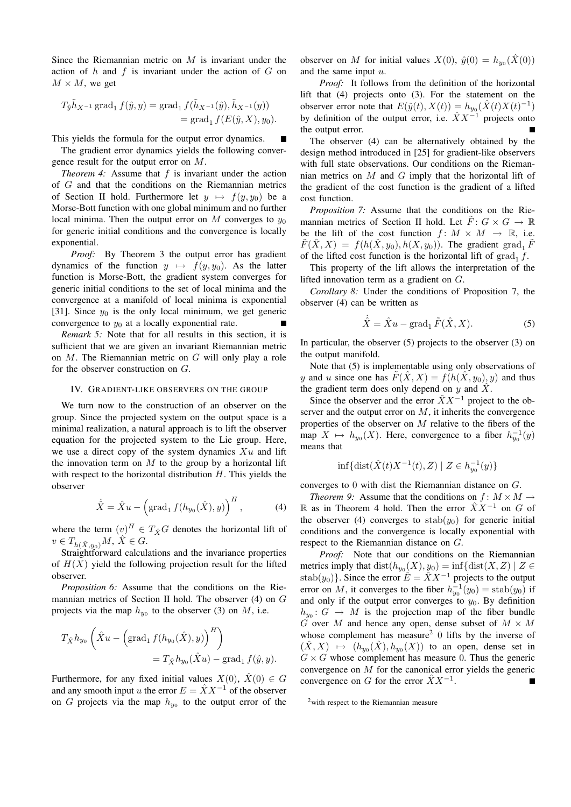Since the Riemannian metric on  $M$  is invariant under the action of  $h$  and  $f$  is invariant under the action of  $G$  on  $M \times M$ , we get

$$
T_{\hat{y}}\tilde{h}_{X^{-1}} \operatorname{grad}_{1} f(\hat{y}, y) = \operatorname{grad}_{1} f(\tilde{h}_{X^{-1}}(\hat{y}), \tilde{h}_{X^{-1}}(y))
$$
  
= grad<sub>1</sub> f(E(\hat{y}, X), y<sub>0</sub>).

This yields the formula for the output error dynamics.

The gradient error dynamics yields the following convergence result for the output error on M.

*Theorem 4:* Assume that f is invariant under the action of G and that the conditions on the Riemannian metrics of Section II hold. Furthermore let  $y \mapsto f(y, y_0)$  be a Morse-Bott function with one global minimum and no further local minima. Then the output error on M converges to  $y_0$ for generic initial conditions and the convergence is locally exponential.

*Proof:* By Theorem 3 the output error has gradient dynamics of the function  $y \mapsto f(y, y_0)$ . As the latter function is Morse-Bott, the gradient system converges for generic initial conditions to the set of local minima and the convergence at a manifold of local minima is exponential [31]. Since  $y_0$  is the only local minimum, we get generic convergence to  $y_0$  at a locally exponential rate.

*Remark 5:* Note that for all results in this section, it is sufficient that we are given an invariant Riemannian metric on M. The Riemannian metric on G will only play a role for the observer construction on G.

#### IV. GRADIENT-LIKE OBSERVERS ON THE GROUP

We turn now to the construction of an observer on the group. Since the projected system on the output space is a minimal realization, a natural approach is to lift the observer equation for the projected system to the Lie group. Here, we use a direct copy of the system dynamics  $Xu$  and lift the innovation term on  $M$  to the group by a horizontal lift with respect to the horizontal distribution  $H$ . This yields the observer

$$
\dot{\hat{X}} = \hat{X}u - \left(\text{grad}_1 f(h_{y_0}(\hat{X}), y)\right)^H, \tag{4}
$$

where the term  $(v)^H \in T_{\hat{X}}G$  denotes the horizontal lift of  $v \in T_{h(\hat{X},y_0)}M, \, \hat{X} \in G.$ 

Straightforward calculations and the invariance properties of  $H(X)$  yield the following projection result for the lifted observer.

*Proposition 6:* Assume that the conditions on the Riemannian metrics of Section II hold. The observer (4) on G projects via the map  $h_{y_0}$  to the observer (3) on M, i.e.

$$
T_{\hat{X}}h_{y_0}\left(\hat{X}u - \left(\text{grad}_1 f(h_{y_0}(\hat{X}), y)\right)^H\right)
$$
  
=  $T_{\hat{X}}h_{y_0}(\hat{X}u) - \text{grad}_1 f(\hat{y}, y).$ 

Furthermore, for any fixed initial values  $X(0)$ ,  $\hat{X}(0) \in G$ and any smooth input u the error  $E = \hat{X}X^{-1}$  of the observer on G projects via the map  $h_{y_0}$  to the output error of the

observer on M for initial values  $X(0)$ ,  $\hat{y}(0) = h_{y_0}(\hat{X}(0))$ and the same input u.

*Proof:* It follows from the definition of the horizontal lift that (4) projects onto (3). For the statement on the observer error note that  $E(\hat{y}(t), X(t)) = h_{y_0}(\hat{X}(t)X(t)^{-1})$ by definition of the output error, i.e.  $\hat{X}X^{-1}$  projects onto the output error.

The observer (4) can be alternatively obtained by the design method introduced in [25] for gradient-like observers with full state observations. Our conditions on the Riemannian metrics on  $M$  and  $G$  imply that the horizontal lift of the gradient of the cost function is the gradient of a lifted cost function.

*Proposition 7:* Assume that the conditions on the Riemannian metrics of Section II hold. Let  $\overline{F}$ :  $G \times G \rightarrow \mathbb{R}$ be the lift of the cost function  $f: M \times M \rightarrow \mathbb{R}$ , i.e.  $\tilde{F}(\hat{X},X) = f(h(\hat{X},y_0),h(X,y_0))$ . The gradient grad<sub>1</sub>  $\tilde{F}$ of the lifted cost function is the horizontal lift of  $\text{grad}_1 f$ .

This property of the lift allows the interpretation of the lifted innovation term as a gradient on G.

*Corollary 8:* Under the conditions of Proposition 7, the observer (4) can be written as

$$
\dot{\hat{X}} = \hat{X}u - \text{grad}_1 \,\tilde{F}(\hat{X}, X). \tag{5}
$$

In particular, the observer (5) projects to the observer (3) on the output manifold.

Note that (5) is implementable using only observations of y and u since one has  $\tilde{F}(\hat{X},X) = f(h(\hat{X},y_0),y)$  and thus the gradient term does only depend on y and  $\hat{X}$ .

Since the observer and the error  $\ddot{X}X^{-1}$  project to the observer and the output error on  $M$ , it inherits the convergence properties of the observer on  $M$  relative to the fibers of the map  $X \mapsto h_{y_0}(X)$ . Here, convergence to a fiber  $h_{y_0}^{-1}(y)$ means that

$$
\inf\{\text{dist}(\hat{X}(t)X^{-1}(t),Z)\mid Z\in h_{y_0}^{-1}(y)\}
$$

converges to 0 with dist the Riemannian distance on G.

*Theorem 9:* Assume that the conditions on  $f: M \times M \rightarrow$ R as in Theorem 4 hold. Then the error  $\hat{X}X^{-1}$  on G of the observer (4) converges to  $stab(y_0)$  for generic initial conditions and the convergence is locally exponential with respect to the Riemannian distance on G.

*Proof:* Note that our conditions on the Riemannian metrics imply that  $dist(h_{y_0}(X), y_0) = inf{dist(X, Z) | Z \in$ stab $(y_0)$ . Since the error  $\hat{E} = \hat{X}X^{-1}$  projects to the output error on M, it converges to the fiber  $h_{y_0}^{-1}(y_0) = \text{stab}(y_0)$  if and only if the output error converges to  $y_0$ . By definition  $h_{y_0}: G \to M$  is the projection map of the fiber bundle G over M and hence any open, dense subset of  $M \times M$ whose complement has measure<sup>2</sup>  $0$  lifts by the inverse of  $(\hat{X}, X) \mapsto (h_{y_0}(\hat{X}), h_{y_0}(X))$  to an open, dense set in  $G \times G$  whose complement has measure 0. Thus the generic convergence on M for the canonical error yields the generic convergence on G for the error  $\hat{X}X^{-1}$ .

<sup>2</sup>with respect to the Riemannian measure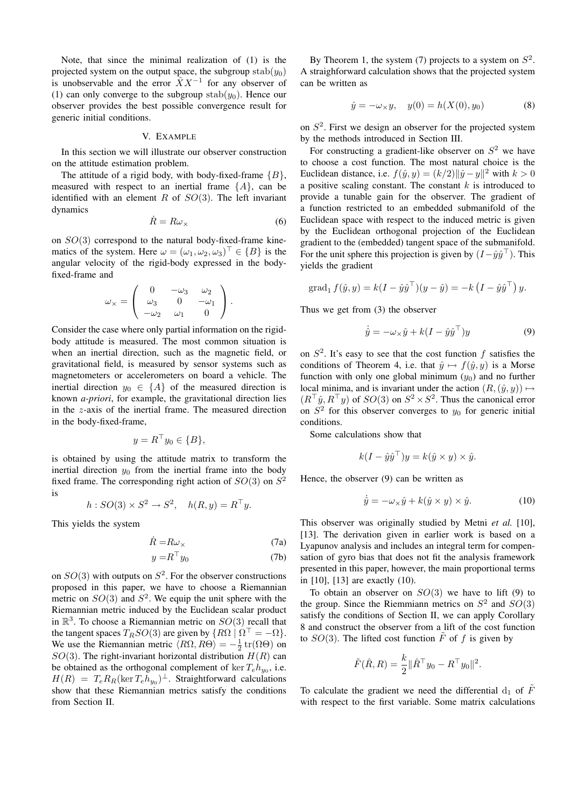Note, that since the minimal realization of (1) is the projected system on the output space, the subgroup stab $(y_0)$ is unobservable and the error  $\hat{X}X^{-1}$  for any observer of (1) can only converge to the subgroup stab $(y_0)$ . Hence our observer provides the best possible convergence result for generic initial conditions.

#### V. EXAMPLE

In this section we will illustrate our observer construction on the attitude estimation problem.

The attitude of a rigid body, with body-fixed-frame  ${B}$ , measured with respect to an inertial frame  ${A}$ , can be identified with an element R of  $SO(3)$ . The left invariant dynamics

$$
\dot{R} = R\omega_{\times} \tag{6}
$$

on  $SO(3)$  correspond to the natural body-fixed-frame kinematics of the system. Here  $\omega = (\omega_1, \omega_2, \omega_3)^{\top} \in \{B\}$  is the angular velocity of the rigid-body expressed in the bodyfixed-frame and

$$
\omega_{\times} = \left( \begin{array}{ccc} 0 & -\omega_3 & \omega_2 \\ \omega_3 & 0 & -\omega_1 \\ -\omega_2 & \omega_1 & 0 \end{array} \right).
$$

Consider the case where only partial information on the rigidbody attitude is measured. The most common situation is when an inertial direction, such as the magnetic field, or gravitational field, is measured by sensor systems such as magnetometers or accelerometers on board a vehicle. The inertial direction  $y_0 \in \{A\}$  of the measured direction is known *a-priori*, for example, the gravitational direction lies in the z-axis of the inertial frame. The measured direction in the body-fixed-frame,

$$
y = R^{\top} y_0 \in \{B\},\
$$

is obtained by using the attitude matrix to transform the inertial direction  $y_0$  from the inertial frame into the body fixed frame. The corresponding right action of  $SO(3)$  on  $S^2$ is

$$
h: SO(3) \times S^2 \to S^2, \quad h(R, y) = R^{\top} y.
$$

This yields the system

$$
\dot{R} = R\omega_{\times} \tag{7a}
$$

$$
y = R^{\top} y_0 \tag{7b}
$$

on  $SO(3)$  with outputs on  $S^2$ . For the observer constructions proposed in this paper, we have to choose a Riemannian metric on  $SO(3)$  and  $S<sup>2</sup>$ . We equip the unit sphere with the Riemannian metric induced by the Euclidean scalar product in  $\mathbb{R}^3$ . To choose a Riemannian metric on  $SO(3)$  recall that the tangent spaces  $T_R SO(3)$  are given by  $\{R\Omega \mid \Omega^{\top} = -\Omega\}.$ We use the Riemannian metric  $\langle R\Omega, R\Theta \rangle = -\frac{1}{2} \text{tr}(\Omega \Theta)$  on  $SO(3)$ . The right-invariant horizontal distribution  $H(R)$  can be obtained as the orthogonal complement of  $\ker T_e h_{y_0}$ , i.e.  $H(R) = T_e R_R(\ker T_e h_{y_0})^{\perp}$ . Straightforward calculations show that these Riemannian metrics satisfy the conditions from Section II.

By Theorem 1, the system (7) projects to a system on  $S^2$ . A straighforward calculation shows that the projected system can be written as

$$
\dot{y} = -\omega_{\times} y, \quad y(0) = h(X(0), y_0)
$$
 (8)

on  $S<sup>2</sup>$ . First we design an observer for the projected system by the methods introduced in Section III.

For constructing a gradient-like observer on  $S^2$  we have to choose a cost function. The most natural choice is the Euclidean distance, i.e.  $f(\hat{y}, y) = (k/2) ||\hat{y} - y||^2$  with  $k > 0$ a positive scaling constant. The constant  $k$  is introduced to provide a tunable gain for the observer. The gradient of a function restricted to an embedded submanifold of the Euclidean space with respect to the induced metric is given by the Euclidean orthogonal projection of the Euclidean gradient to the (embedded) tangent space of the submanifold. For the unit sphere this projection is given by  $(I - \hat{y}\hat{y}^{\top})$ . This yields the gradient

$$
\operatorname{grad}_1 f(\hat{y}, y) = k(I - \hat{y}\hat{y}^\top)(y - \hat{y}) = -k(I - \hat{y}\hat{y}^\top) y.
$$

Thus we get from (3) the observer

$$
\dot{\hat{y}} = -\omega_{\times}\hat{y} + k(I - \hat{y}\hat{y}^{\top})y
$$
\n(9)

on  $S^2$ . It's easy to see that the cost function f satisfies the conditions of Theorem 4, i.e. that  $\hat{y} \mapsto f(\hat{y}, y)$  is a Morse function with only one global minimum  $(y_0)$  and no further local minima, and is invariant under the action  $(R,(\hat{y}, y)) \mapsto$  $(R^{\top}\hat{y}, R^{\top}y)$  of  $SO(3)$  on  $S^2 \times S^2$ . Thus the canonical error on  $S<sup>2</sup>$  for this observer converges to  $y_0$  for generic initial conditions.

Some calculations show that

$$
k(I - \hat{y}\hat{y}^{\top})y = k(\hat{y} \times y) \times \hat{y}.
$$

Hence, the observer (9) can be written as

$$
\dot{\hat{y}} = -\omega_{\times}\hat{y} + k(\hat{y} \times y) \times \hat{y}.
$$
 (10)

This observer was originally studied by Metni *et al.* [10], [13]. The derivation given in earlier work is based on a Lyapunov analysis and includes an integral term for compensation of gyro bias that does not fit the analysis framework presented in this paper, however, the main proportional terms in [10], [13] are exactly (10).

To obtain an observer on  $SO(3)$  we have to lift (9) to the group. Since the Riemmiann metrics on  $S^2$  and  $SO(3)$ satisfy the conditions of Section II, we can apply Corollary 8 and construct the observer from a lift of the cost function to  $SO(3)$ . The lifted cost function  $\tilde{F}$  of f is given by

$$
\tilde{F}(\hat{R}, R) = \frac{k}{2} || \hat{R}^\top y_0 - R^\top y_0 ||^2.
$$

To calculate the gradient we need the differential  $d_1$  of  $\tilde{F}$ with respect to the first variable. Some matrix calculations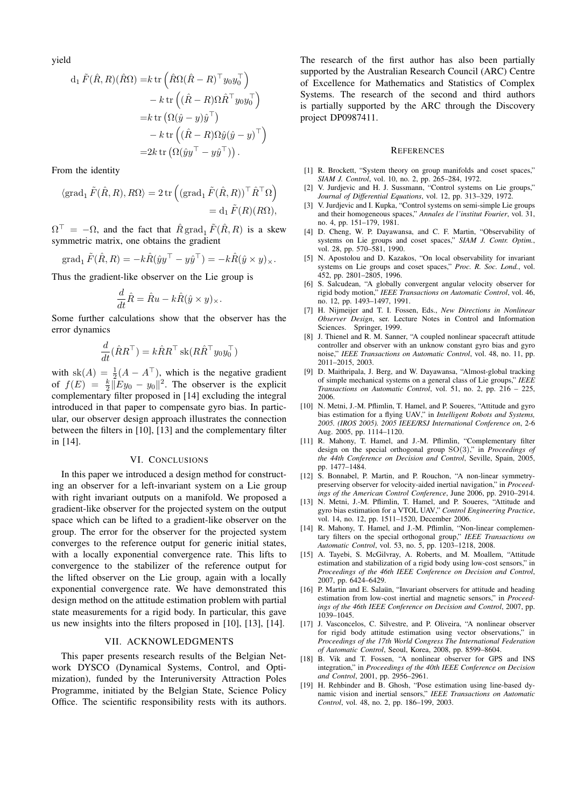yield

$$
d_1 \tilde{F}(\hat{R}, R)(\hat{R}\Omega) = k \operatorname{tr} \left( \hat{R}\Omega (\hat{R} - R)^{\top} y_0 y_0^{\top} \right) - k \operatorname{tr} \left( (\hat{R} - R)\Omega \hat{R}^{\top} y_0 y_0^{\top} \right) = k \operatorname{tr} \left( \Omega (\hat{y} - y) \hat{y}^{\top} \right) - k \operatorname{tr} \left( (\hat{R} - R)\Omega \hat{y} (\hat{y} - y)^{\top} \right) = 2k \operatorname{tr} \left( \Omega (\hat{y} y^{\top} - y \hat{y}^{\top}) \right).
$$

From the identity

$$
\langle \operatorname{grad}_{1} \tilde{F}(\hat{R}, R), R\Omega \rangle = 2 \operatorname{tr} \left( (\operatorname{grad}_{1} \tilde{F}(\hat{R}, R))^\top \hat{R}^\top \Omega \right) = d_1 \tilde{F}(R)(R\Omega),
$$

 $\Omega^{\top} = -\Omega$ , and the fact that  $\hat{R}$  grad<sub>1</sub>  $\tilde{F}(\hat{R}, R)$  is a skew symmetric matrix, one obtains the gradient

grad<sub>1</sub> 
$$
\tilde{F}(\hat{R}, R) = -k\hat{R}(\hat{y}y^{\top} - y\hat{y}^{\top}) = -k\hat{R}(\hat{y} \times y)_{\times}.
$$

Thus the gradient-like observer on the Lie group is

$$
\frac{d}{dt}\hat{R} = \hat{R}u - k\hat{R}(\hat{y} \times y)_{\times}.
$$

Some further calculations show that the observer has the error dynamics

$$
\frac{d}{dt}(\hat{R}R^{\top}) = k\hat{R}R^{\top} \operatorname{sk}(R\hat{R}^{\top}y_0y_0^{\top})
$$

with  $sk(A) = \frac{1}{2}(A - A^{\top})$ , which is the negative gradient of  $f(E) = \frac{k}{2} \overline{\|E y_0 - y_0\|^2}$ . The observer is the explicit complementary filter proposed in [14] excluding the integral introduced in that paper to compensate gyro bias. In particular, our observer design approach illustrates the connection between the filters in [10], [13] and the complementary filter in [14].

# VI. CONCLUSIONS

In this paper we introduced a design method for constructing an observer for a left-invariant system on a Lie group with right invariant outputs on a manifold. We proposed a gradient-like observer for the projected system on the output space which can be lifted to a gradient-like observer on the group. The error for the observer for the projected system converges to the reference output for generic initial states, with a locally exponential convergence rate. This lifts to convergence to the stabilizer of the reference output for the lifted observer on the Lie group, again with a locally exponential convergence rate. We have demonstrated this design method on the attitude estimation problem with partial state measurements for a rigid body. In particular, this gave us new insights into the filters proposed in [10], [13], [14].

### VII. ACKNOWLEDGMENTS

This paper presents research results of the Belgian Network DYSCO (Dynamical Systems, Control, and Optimization), funded by the Interuniversity Attraction Poles Programme, initiated by the Belgian State, Science Policy Office. The scientific responsibility rests with its authors.

The research of the first author has also been partially supported by the Australian Research Council (ARC) Centre of Excellence for Mathematics and Statistics of Complex Systems. The research of the second and third authors is partially supported by the ARC through the Discovery project DP0987411.

#### **REFERENCES**

- [1] R. Brockett, "System theory on group manifolds and coset spaces," *SIAM J. Control*, vol. 10, no. 2, pp. 265–284, 1972.
- [2] V. Jurdjevic and H. J. Sussmann, "Control systems on Lie groups," *Journal of Differential Equations*, vol. 12, pp. 313–329, 1972.
- [3] V. Jurdjevic and I. Kupka, "Control systems on semi-simple Lie groups and their homogeneous spaces," *Annales de l'institut Fourier*, vol. 31, no. 4, pp. 151–179, 1981.
- [4] D. Cheng, W. P. Dayawansa, and C. F. Martin, "Observability of systems on Lie groups and coset spaces," *SIAM J. Contr. Optim.*, vol. 28, pp. 570–581, 1990.
- [5] N. Apostolou and D. Kazakos, "On local observability for invariant systems on Lie groups and coset spaces," *Proc. R. Soc. Lond.*, vol. 452, pp. 2801–2805, 1996.
- [6] S. Salcudean, "A globally convergent angular velocity observer for rigid body motion," *IEEE Transactions on Automatic Control*, vol. 46, no. 12, pp. 1493–1497, 1991.
- [7] H. Nijmeijer and T. I. Fossen, Eds., *New Directions in Nonlinear Observer Design*, ser. Lecture Notes in Control and Information Sciences. Springer, 1999.
- [8] J. Thienel and R. M. Sanner, "A coupled nonlinear spacecraft attitude controller and observer with an unknow constant gyro bias and gyro noise," *IEEE Transactions on Automatic Control*, vol. 48, no. 11, pp. 2011–2015, 2003.
- [9] D. Maithripala, J. Berg, and W. Dayawansa, "Almost-global tracking of simple mechanical systems on a general class of Lie groups," *IEEE Transactions on Automatic Control*, vol. 51, no. 2, pp. 216 – 225, 2006.
- [10] N. Metni, J.-M. Pflimlin, T. Hamel, and P. Soueres, "Attitude and gyro bias estimation for a flying UAV," in *Intelligent Robots and Systems, 2005. (IROS 2005). 2005 IEEE/RSJ International Conference on*, 2-6 Aug. 2005, pp. 1114–1120.
- [11] R. Mahony, T. Hamel, and J.-M. Pflimlin, "Complementary filter design on the special orthogonal group SO(3)," in *Proceedings of the 44th Conference on Decision and Control*, Seville, Spain, 2005, pp. 1477–1484.
- [12] S. Bonnabel, P. Martin, and P. Rouchon, "A non-linear symmetrypreserving observer for velocity-aided inertial navigation," in *Proceedings of the American Control Conference*, June 2006, pp. 2910–2914.
- [13] N. Metni, J.-M. Pflimlin, T. Hamel, and P. Soueres, "Attitude and gyro bias estimation for a VTOL UAV," *Control Engineering Practice*, vol. 14, no. 12, pp. 1511–1520, December 2006.
- [14] R. Mahony, T. Hamel, and J.-M. Pflimlin, "Non-linear complementary filters on the special orthogonal group," *IEEE Transactions on Automatic Control*, vol. 53, no. 5, pp. 1203–1218, 2008.
- [15] A. Tayebi, S. McGilvray, A. Roberts, and M. Moallem, "Attitude estimation and stabilization of a rigid body using low-cost sensors," in *Proceedings of the 46th IEEE Conference on Decision and Control*, 2007, pp. 6424–6429.
- [16] P. Martin and E. Salaün, "Invariant observers for attitude and heading estimation from low-cost inertial and magnetic sensors," in *Proceedings of the 46th IEEE Conference on Decision and Control*, 2007, pp. 1039–1045.
- [17] J. Vasconcelos, C. Silvestre, and P. Oliveira, "A nonlinear observer for rigid body attitude estimation using vector observations," in *Proceedings of the 17th World Congress The International Federation of Automatic Control*, Seoul, Korea, 2008, pp. 8599–8604.
- [18] B. Vik and T. Fossen, "A nonlinear observer for GPS and INS integration," in *Proceedings of the 40th IEEE Conference on Decision and Control*, 2001, pp. 2956–2961.
- [19] H. Rehbinder and B. Ghosh, "Pose estimation using line-based dynamic vision and inertial sensors," *IEEE Transactions on Automatic Control*, vol. 48, no. 2, pp. 186–199, 2003.